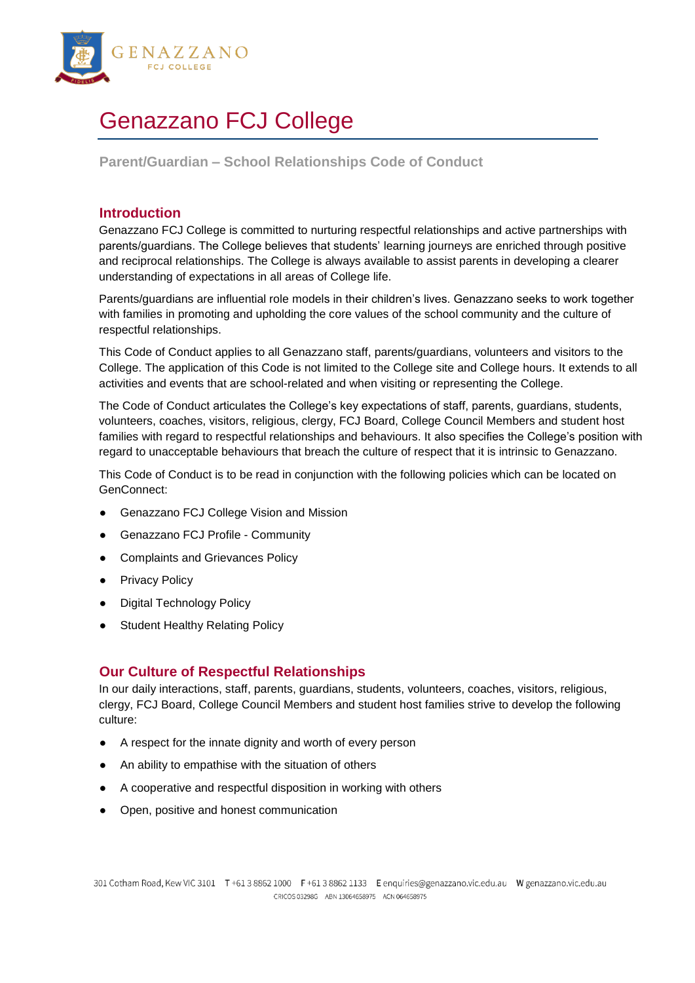

# Genazzano FCJ College

**Parent/Guardian – School Relationships Code of Conduct**

## **Introduction**

Genazzano FCJ College is committed to nurturing respectful relationships and active partnerships with parents/guardians. The College believes that students' learning journeys are enriched through positive and reciprocal relationships. The College is always available to assist parents in developing a clearer understanding of expectations in all areas of College life.

Parents/guardians are influential role models in their children's lives. Genazzano seeks to work together with families in promoting and upholding the core values of the school community and the culture of respectful relationships.

This Code of Conduct applies to all Genazzano staff, parents/guardians, volunteers and visitors to the College. The application of this Code is not limited to the College site and College hours. It extends to all activities and events that are school-related and when visiting or representing the College.

The Code of Conduct articulates the College's key expectations of staff, parents, guardians, students, volunteers, coaches, visitors, religious, clergy, FCJ Board, College Council Members and student host families with regard to respectful relationships and behaviours. It also specifies the College's position with regard to unacceptable behaviours that breach the culture of respect that it is intrinsic to Genazzano.

This Code of Conduct is to be read in conjunction with the following policies which can be located on GenConnect:

- Genazzano FCJ College Vision and Mission
- **Genazzano FCJ Profile Community**
- Complaints and Grievances Policy
- **Privacy Policy**
- **Digital Technology Policy**
- **Student Healthy Relating Policy**

# **Our Culture of Respectful Relationships**

In our daily interactions, staff, parents, guardians, students, volunteers, coaches, visitors, religious, clergy, FCJ Board, College Council Members and student host families strive to develop the following culture:

- A respect for the innate dignity and worth of every person
- An ability to empathise with the situation of others
- A cooperative and respectful disposition in working with others
- Open, positive and honest communication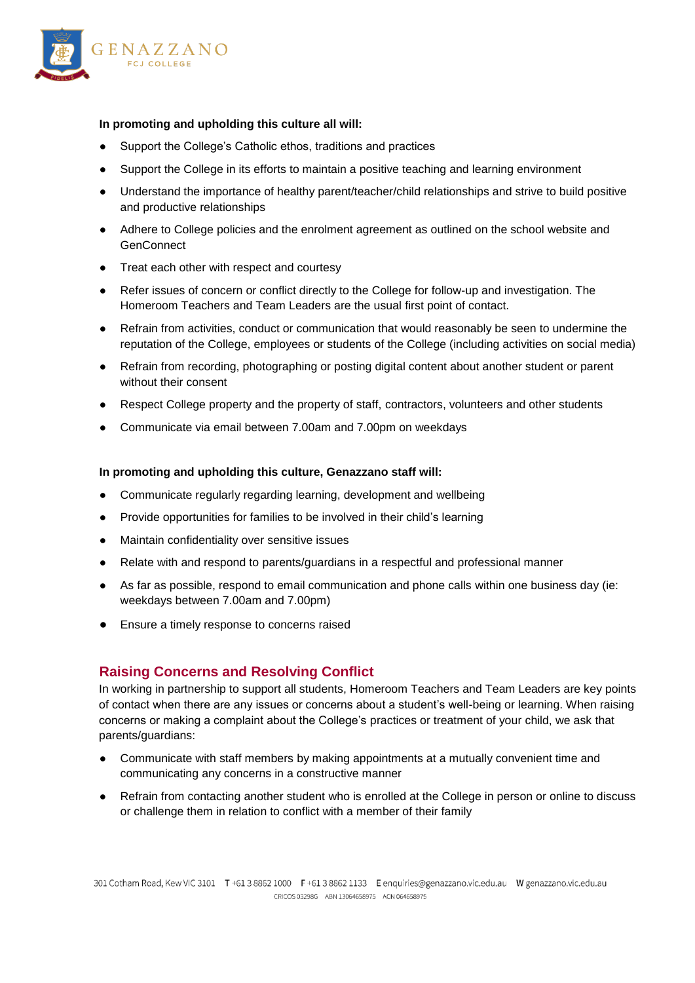

#### **In promoting and upholding this culture all will:**

- Support the College's Catholic ethos, traditions and practices
- Support the College in its efforts to maintain a positive teaching and learning environment
- Understand the importance of healthy parent/teacher/child relationships and strive to build positive and productive relationships
- Adhere to College policies and the enrolment agreement as outlined on the school website and **GenConnect**
- Treat each other with respect and courtesy
- Refer issues of concern or conflict directly to the College for follow-up and investigation. The Homeroom Teachers and Team Leaders are the usual first point of contact.
- Refrain from activities, conduct or communication that would reasonably be seen to undermine the reputation of the College, employees or students of the College (including activities on social media)
- Refrain from recording, photographing or posting digital content about another student or parent without their consent
- Respect College property and the property of staff, contractors, volunteers and other students
- Communicate via email between 7.00am and 7.00pm on weekdays

#### **In promoting and upholding this culture, Genazzano staff will:**

- Communicate regularly regarding learning, development and wellbeing
- Provide opportunities for families to be involved in their child's learning
- Maintain confidentiality over sensitive issues
- Relate with and respond to parents/guardians in a respectful and professional manner
- As far as possible, respond to email communication and phone calls within one business day (ie: weekdays between 7.00am and 7.00pm)
- Ensure a timely response to concerns raised

## **Raising Concerns and Resolving Conflict**

In working in partnership to support all students, Homeroom Teachers and Team Leaders are key points of contact when there are any issues or concerns about a student's well-being or learning. When raising concerns or making a complaint about the College's practices or treatment of your child, we ask that parents/guardians:

- Communicate with staff members by making appointments at a mutually convenient time and communicating any concerns in a constructive manner
- Refrain from contacting another student who is enrolled at the College in person or online to discuss or challenge them in relation to conflict with a member of their family